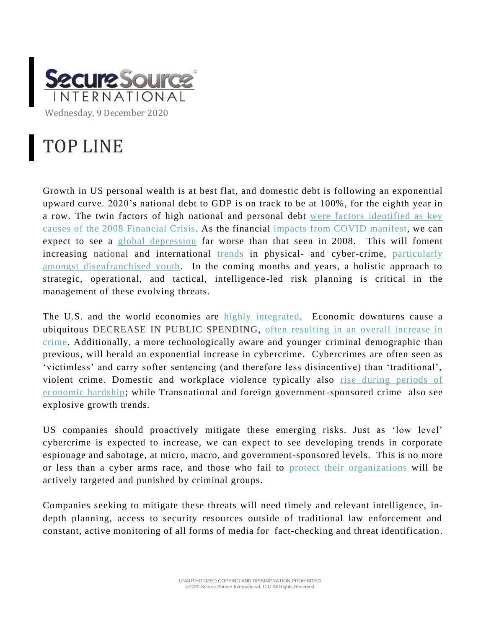

## TOP LINE

Growth in US personal wealth is at best flat, and domestic debt is following an exponential upward curve. 2020's national debt to GDP is on track to be at 100%, for the eighth year in a row. The twin factors of high national and personal debt [were factors identified as key](https://cybercemetery.unt.edu/archive/fcic/20110310171107/http:/c0186234.cdn1.cloudfiles.rackspacecloud.com/2011-0127-fcic-releases-report.pdf)  [causes of the 2008](https://cybercemetery.unt.edu/archive/fcic/20110310171107/http:/c0186234.cdn1.cloudfiles.rackspacecloud.com/2011-0127-fcic-releases-report.pdf) Financial Crisis. As the financial [impacts from COVID manifest,](https://www.worldbank.org/en/news/press-release/2020/06/08/covid-19-to-plunge-global-economy-into-worst-recession-since-world-war-ii) we can expect to see a [global depression](https://time.com/5876606/economic-depression-coronavirus/) far worse than that seen in 2008. This will foment increasing national and international [trends](https://www.mitpressjournals.org/doi/pdf/10.1162/rest_a_00698) in physical- and cyber-crime, [particularly](https://www.weforum.org/agenda/2015/03/do-recessions-increase-crime/)  [amongst disenfranchised youth.](https://www.weforum.org/agenda/2015/03/do-recessions-increase-crime/) In the coming months and years, a holistic approach to strategic, operational, and tactical, intelligence-led risk planning is critical in the management of these evolving threats.

The U.S. and the world economies are [highly integrated.](https://www.federalreserve.gov/econres/notes/ifdp-notes/monitoring-the-world-economy-a-global-conditions-index-20180615.htm) Economic downturns cause a ubiquitous DECREASE IN PUBLIC SPENDING, often resulting in [an overall increase in](https://cops.usdoj.gov/RIC/Publications/cops-w0669-pub.pdf)  [crime.](https://cops.usdoj.gov/RIC/Publications/cops-w0669-pub.pdf) Additionally, a more technologically aware and younger criminal demographic than previous, will herald an exponential increase in cybercrime. Cybercrimes are often seen as 'victimless' and carry softer sentencing (and therefore less disincentive) than 'traditional', violent crime. Domestic and workplace violence typically also [rise during periods of](https://www.ncbi.nlm.nih.gov/pmc/articles/PMC4860387/)  [economic hardship;](https://www.ncbi.nlm.nih.gov/pmc/articles/PMC4860387/) while Transnational and foreign government-sponsored crime also see explosive growth trends.

US companies should proactively mitigate these emerging risks. Just as 'low level' cybercrime is expected to increase, we can expect to see developing trends in corporate espionage and sabotage, at micro, macro, and government-sponsored levels. This is no more or less than a cyber arms race, and those who fail to [protect their organizations](https://www.researchgate.net/publication/220450115_Corporate_Espionage_and_What_Can_Be_Done_to_Prevent_It/link/59380a150f7e9b32b7de241f/download) will be actively targeted and punished by criminal groups.

Companies seeking to mitigate these threats will need timely and relevant intelligence, indepth planning, access to security resources outside of traditional law enforcement and constant, active monitoring of all forms of media for fact-checking and threat identification.